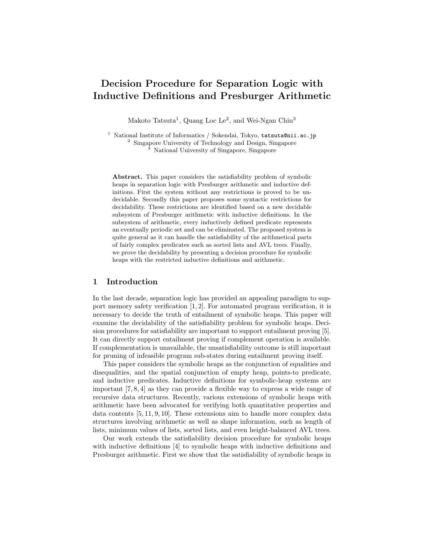# Decision Procedure for Separation Logic with Inductive Definitions and Presburger Arithmetic

Makoto Tatsuta<sup>1</sup>, Quang Loc Le<sup>2</sup>, and Wei-Ngan Chin<sup>3</sup>

<sup>1</sup> National Institute of Informatics / Sokendai, Tokyo, tatsuta@nii.ac.jp <sup>2</sup> Singapore University of Technology and Design, Singapore  $\frac{3}{3}$  National University of Singapore, Singapore

Abstract. This paper considers the satisfiability problem of symbolic heaps in separation logic with Presburger arithmetic and inductive definitions. First the system without any restrictions is proved to be undecidable. Secondly this paper proposes some syntactic restrictions for decidability. These restrictions are identified based on a new decidable subsystem of Presburger arithmetic with inductive definitions. In the subsystem of arithmetic, every inductively defined predicate represents an eventually periodic set and can be eliminated. The proposed system is quite general as it can handle the satisfiability of the arithmetical parts of fairly complex predicates such as sorted lists and AVL trees. Finally, we prove the decidability by presenting a decision procedure for symbolic heaps with the restricted inductive definitions and arithmetic.

## 1 Introduction

In the last decade, separation logic has provided an appealing paradigm to support memory safety verification [1, 2]. For automated program verification, it is necessary to decide the truth of entailment of symbolic heaps. This paper will examine the decidability of the satisfiability problem for symbolic heaps. Decision procedures for satisfiability are important to support entailment proving [5]. It can directly support entailment proving if complement operation is available. If complementation is unavailable, the unsatisfiability outcome is still important for pruning of infeasible program sub-states during entailment proving itself.

This paper considers the symbolic heaps as the conjunction of equalities and disequalities, and the spatial conjunction of empty heap, points-to predicate, and inductive predicates. Inductive definitions for symbolic-heap systems are important [7, 8, 4] as they can provide a flexible way to express a wide range of recursive data structures. Recently, various extensions of symbolic heaps with arithmetic have been advocated for verifying both quantitative properties and data contents [5, 11, 9, 10]. These extensions aim to handle more complex data structures involving arithmetic as well as shape information, such as length of lists, minimum values of lists, sorted lists, and even height-balanced AVL trees.

Our work extends the satisfiability decision procedure for symbolic heaps with inductive definitions [4] to symbolic heaps with inductive definitions and Presburger arithmetic. First we show that the satisfiability of symbolic heaps in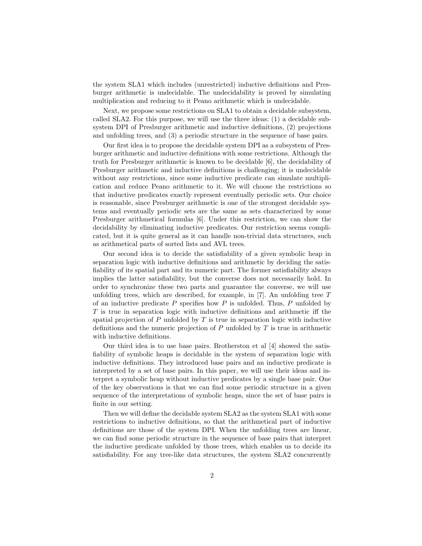the system SLA1 which includes (unrestricted) inductive definitions and Presburger arithmetic is undecidable. The undecidability is proved by simulating multiplication and reducing to it Peano arithmetic which is undecidable.

Next, we propose some restrictions on SLA1 to obtain a decidable subsystem, called SLA2. For this purpose, we will use the three ideas: (1) a decidable subsystem DPI of Presburger arithmetic and inductive definitions, (2) projections and unfolding trees, and (3) a periodic structure in the sequence of base pairs.

Our first idea is to propose the decidable system DPI as a subsystem of Presburger arithmetic and inductive definitions with some restrictions. Although the truth for Presburger arithmetic is known to be decidable [6], the decidability of Presburger arithmetic and inductive definitions is challenging; it is undecidable without any restrictions, since some inductive predicate can simulate multiplication and reduce Peano arithmetic to it. We will choose the restrictions so that inductive predicates exactly represent eventually periodic sets. Our choice is reasonable, since Presburger arithmetic is one of the strongest decidable systems and eventually periodic sets are the same as sets characterized by some Presburger arithmetical formulas [6]. Under this restriction, we can show the decidability by eliminating inductive predicates. Our restriction seems complicated, but it is quite general as it can handle non-trivial data structures, such as arithmetical parts of sorted lists and AVL trees.

Our second idea is to decide the satisfiability of a given symbolic heap in separation logic with inductive definitions and arithmetic by deciding the satisfiability of its spatial part and its numeric part. The former satisfiability always implies the latter satisfiability, but the converse does not necessarily hold. In order to synchronize these two parts and guarantee the converse, we will use unfolding trees, which are described, for example, in  $[7]$ . An unfolding tree  $T$ of an inductive predicate  $P$  specifies how  $P$  is unfolded. Thus,  $P$  unfolded by T is true in separation logic with inductive definitions and arithmetic iff the spatial projection of  $P$  unfolded by  $T$  is true in separation logic with inductive definitions and the numeric projection of  $P$  unfolded by  $T$  is true in arithmetic with inductive definitions.

Our third idea is to use base pairs. Brotherston et al [4] showed the satisfiability of symbolic heaps is decidable in the system of separation logic with inductive definitions. They introduced base pairs and an inductive predicate is interpreted by a set of base pairs. In this paper, we will use their ideas and interpret a symbolic heap without inductive predicates by a single base pair. One of the key observations is that we can find some periodic structure in a given sequence of the interpretations of symbolic heaps, since the set of base pairs is finite in our setting.

Then we will define the decidable system SLA2 as the system SLA1 with some restrictions to inductive definitions, so that the arithmetical part of inductive definitions are those of the system DPI. When the unfolding trees are linear, we can find some periodic structure in the sequence of base pairs that interpret the inductive predicate unfolded by those trees, which enables us to decide its satisfiability. For any tree-like data structures, the system SLA2 concurrently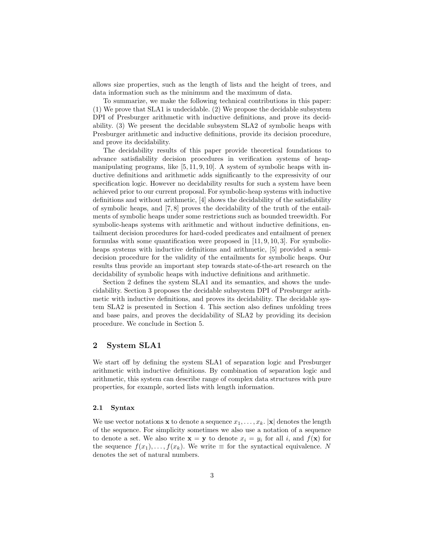allows size properties, such as the length of lists and the height of trees, and data information such as the minimum and the maximum of data.

To summarize, we make the following technical contributions in this paper: (1) We prove that SLA1 is undecidable. (2) We propose the decidable subsystem DPI of Presburger arithmetic with inductive definitions, and prove its decidability. (3) We present the decidable subsystem SLA2 of symbolic heaps with Presburger arithmetic and inductive definitions, provide its decision procedure, and prove its decidability.

The decidability results of this paper provide theoretical foundations to advance satisfiability decision procedures in verification systems of heapmanipulating programs, like  $[5, 11, 9, 10]$ . A system of symbolic heaps with inductive definitions and arithmetic adds significantly to the expressivity of our specification logic. However no decidability results for such a system have been achieved prior to our current proposal. For symbolic-heap systems with inductive definitions and without arithmetic, [4] shows the decidability of the satisfiability of symbolic heaps, and [7, 8] proves the decidability of the truth of the entailments of symbolic heaps under some restrictions such as bounded treewidth. For symbolic-heaps systems with arithmetic and without inductive definitions, entailment decision procedures for hard-coded predicates and entailment of prenex formulas with some quantification were proposed in  $[11, 9, 10, 3]$ . For symbolicheaps systems with inductive definitions and arithmetic, [5] provided a semidecision procedure for the validity of the entailments for symbolic heaps. Our results thus provide an important step towards state-of-the-art research on the decidability of symbolic heaps with inductive definitions and arithmetic.

Section 2 defines the system SLA1 and its semantics, and shows the undecidability. Section 3 proposes the decidable subsystem DPI of Presburger arithmetic with inductive definitions, and proves its decidability. The decidable system SLA2 is presented in Section 4. This section also defines unfolding trees and base pairs, and proves the decidability of SLA2 by providing its decision procedure. We conclude in Section 5.

## 2 System SLA1

We start off by defining the system SLA1 of separation logic and Presburger arithmetic with inductive definitions. By combination of separation logic and arithmetic, this system can describe range of complex data structures with pure properties, for example, sorted lists with length information.

#### 2.1 Syntax

We use vector notations **x** to denote a sequence  $x_1, \ldots, x_k$ .  $|\mathbf{x}|$  denotes the length of the sequence. For simplicity sometimes we also use a notation of a sequence to denote a set. We also write  $\mathbf{x} = \mathbf{y}$  to denote  $x_i = y_i$  for all i, and  $f(\mathbf{x})$  for the sequence  $f(x_1), \ldots, f(x_k)$ . We write  $\equiv$  for the syntactical equivalence. N denotes the set of natural numbers.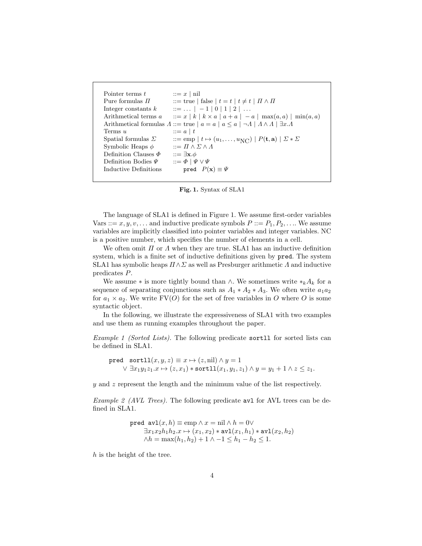```
Pointer terms t ::= x \mid \text{nil}Pure formulas \Pi ::= true | false | t = t | t \neq t | \Pi \wedge \PiInteger constants k ::= ... |-1|0|1|2|...Arithmetical terms a ::= x | k | k \times a | a + a | -a | \max(a, a) | \min(a, a)Arithmetical formulas \Lambda ::= true |a = a | a \leq a | \neg \Lambda | \Lambda \wedge \Lambda | \exists x \ldotp \LambdaTerms u ::= a | tSpatial formulas \Sigma ::= emp | t \mapsto (u_1, \dots, u_{NC}) | P(\mathbf{t}, \mathbf{a}) | \Sigma * \Sigma<br>Symbolic Heaps \phi ::= \Pi \wedge \Sigma \wedge \LambdaSymbolic Heaps \phiDefinition Clauses \Phi ::= \exists \mathbf{x} \cdot \phiDefinition Bodies \Psi ::= \Phi | \Psi \vee \PsiInductive Definitions pred P(x) \equiv \Psi
```
Fig. 1. Syntax of SLA1

The language of SLA1 is defined in Figure 1. We assume first-order variables Vars ::=  $x, y, v, \ldots$  and inductive predicate symbols  $P ::= P_1, P_2, \ldots$  We assume variables are implicitly classified into pointer variables and integer variables. NC is a positive number, which specifies the number of elements in a cell.

We often omit  $\Pi$  or  $\Lambda$  when they are true. SLA1 has an inductive definition system, which is a finite set of inductive definitions given by pred. The system SLA1 has symbolic heaps  $\Pi \wedge \Sigma$  as well as Presburger arithmetic  $\Lambda$  and inductive predicates P.

We assume  $*$  is more tightly bound than  $\wedge$ . We sometimes write  $*_{k}A_{k}$  for a sequence of separating conjunctions such as  $A_1 * A_2 * A_3$ . We often write  $a_1 a_2$ for  $a_1 \times a_2$ . We write  $FV(O)$  for the set of free variables in O where O is some syntactic object.

In the following, we illustrate the expressiveness of SLA1 with two examples and use them as running examples throughout the paper.

Example 1 (Sorted Lists). The following predicate sortll for sorted lists can be defined in SLA1.

pred sortll $(x, y, z) \equiv x \mapsto (z, \text{nil}) \wedge y = 1$  $\vee \exists x_1y_1z_1.x \mapsto (z, x_1) * \text{sortl1}(x_1, y_1, z_1) \wedge y = y_1 + 1 \wedge z \leq z_1.$ 

 $y$  and z represent the length and the minimum value of the list respectively.

Example 2 (AVL Trees). The following predicate av1 for AVL trees can be defined in SLA1.

$$
\begin{aligned} \text{pred av1}(x, h) &\equiv \text{emp} \land x = \text{nil} \land h = 0 \lor \\ &\exists x_1 x_2 h_1 h_2 \ldots \rightarrow (x_1, x_2) * \text{av1}(x_1, h_1) * \text{av1}(x_2, h_2) \\ &\land h = \max(h_1, h_2) + 1 \land -1 \le h_1 - h_2 \le 1. \end{aligned}
$$

h is the height of the tree.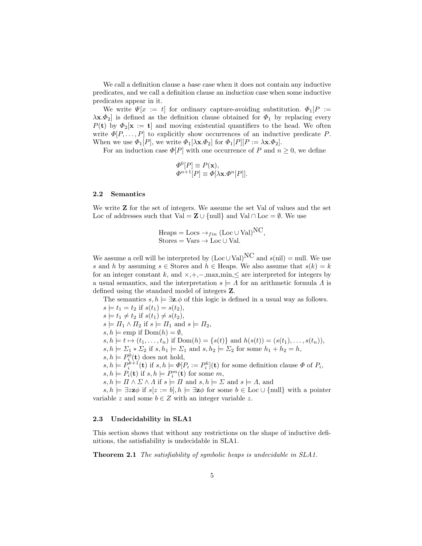We call a definition clause a base case when it does not contain any inductive predicates, and we call a definition clause an induction case when some inductive predicates appear in it.

We write  $\Psi[x := t]$  for ordinary capture-avoiding substitution.  $\Phi_1[P :=$  $\lambda$ **x**. $\Phi_2$  is defined as the definition clause obtained for  $\Phi_1$  by replacing every  $P(\mathbf{t})$  by  $\Phi_2[\mathbf{x} := \mathbf{t}]$  and moving existential quantifiers to the head. We often write  $\Phi[P,\ldots,P]$  to explicitly show occurrences of an inductive predicate P. When we use  $\Phi_1[P]$ , we write  $\Phi_1[\lambda \mathbf{x} \cdot \Phi_2]$  for  $\Phi_1[P][P] := \lambda \mathbf{x} \cdot \Phi_2$ .

For an induction case  $\Phi[P]$  with one occurrence of P and  $n \geq 0$ , we define

$$
\begin{aligned} \Phi^0[P] &\equiv P(\mathbf{x}), \\ \Phi^{n+1}[P] &\equiv \Phi[\lambda \mathbf{x}. \Phi^n[P]]. \end{aligned}
$$

#### 2.2 Semantics

We write **Z** for the set of integers. We assume the set Val of values and the set Loc of addresses such that Val =  $\mathbf{Z} \cup \{\text{null}\}\$ and Val ∩ Loc =  $\emptyset$ . We use

$$
Heaps = Loss \rightarrow_{fin} (Loc \cup Val)^{NC},
$$
  
Stores = Vars  $\rightarrow$  Loc  $\cup$  Val.

We assume a cell will be interpreted by  $(Loc\cup Val)^{NC}$  and  $s(nil) = null$ . We use s and h by assuming s  $\in$  Stores and  $h \in$  Heaps. We also assume that  $s(k) = k$ for an integer constant k, and  $\times, +, -$ , max,min, $\lt$  are interpreted for integers by a usual semantics, and the interpretation  $s \models A$  for an arithmetic formula A is defined using the standard model of integers Z.

The semantics  $s, h \models \exists z. \phi$  of this logic is defined in a usual way as follows.

 $s = t_1 = t_2$  if  $s(t_1) = s(t_2)$ ,  $s \models t_1 \neq t_2 \text{ if } s(t_1) \neq s(t_2),$  $s \models \Pi_1 \land \Pi_2$  if  $s \models \Pi_1$  and  $s \models \Pi_2$ ,  $s, h \models \text{emp if } \text{Dom}(h) = \emptyset,$  $s, h \models t \mapsto (t_1, \ldots, t_n)$  if  $Dom(h) = \{s(t)\}\$ and  $h(s(t)) = (s(t_1), \ldots, s(t_n)),$  $s, h \models \Sigma_1 * \Sigma_2$  if  $s, h_1 \models \Sigma_1$  and  $s, h_2 \models \Sigma_2$  for some  $h_1 + h_2 = h$ ,  $s, h \models P_i^0(\mathbf{t})$  does not hold,  $s, h \models P_i^{k+1}(\mathbf{t})$  if  $s, h \models \Phi[P_i := P_i^k](\mathbf{t})$  for some definition clause  $\Phi$  of  $P_i$ ,  $s, h \models P_i(\mathbf{t})$  if  $s, h \models P_i^m(\mathbf{t})$  for some  $m$ ,  $s, h \models \Pi \land \Sigma \land \Lambda$  if  $s \models \Pi$  and  $s, h \models \Sigma$  and  $s \models \Lambda$ , and

 $s, h \models \exists z \mathbf{z} \phi$  if  $s[z := b], h \models \exists \mathbf{z} \phi$  for some  $b \in \text{Loc} \cup \{\text{null}\}\$  with a pointer variable z and some  $b \in Z$  with an integer variable z.

## 2.3 Undecidability in SLA1

This section shows that without any restrictions on the shape of inductive definitions, the satisfiability is undecidable in SLA1.

Theorem 2.1 The satisfiability of symbolic heaps is undecidable in SLA1.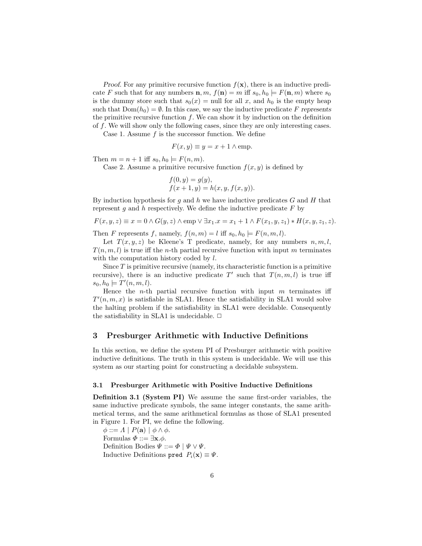Proof. For any primitive recursive function  $f(\mathbf{x})$ , there is an inductive predicate F such that for any numbers  $\mathbf{n}, m, f(\mathbf{n}) = m$  iff  $s_0, h_0 \models F(\mathbf{n}, m)$  where  $s_0$ is the dummy store such that  $s_0(x) = \text{null}$  for all x, and  $h_0$  is the empty heap such that  $Dom(h_0) = \emptyset$ . In this case, we say the inductive predicate F represents the primitive recursive function  $f$ . We can show it by induction on the definition of f. We will show only the following cases, since they are only interesting cases.

Case 1. Assume f is the successor function. We define

$$
F(x, y) \equiv y = x + 1 \land \text{emp.}
$$

Then  $m = n + 1$  iff  $s_0, h_0 \models F(n, m)$ .

Case 2. Assume a primitive recursive function  $f(x, y)$  is defined by

$$
f(0, y) = g(y), f(x + 1, y) = h(x, y, f(x, y)).
$$

By induction hypothesis for  $g$  and  $h$  we have inductive predicates  $G$  and  $H$  that represent g and h respectively. We define the inductive predicate  $F$  by

$$
F(x, y, z) \equiv x = 0 \land G(y, z) \land \text{emp} \lor \exists x_1 \ldots x = x_1 + 1 \land F(x_1, y, z_1) * H(x, y, z_1, z).
$$

Then F represents f, namely,  $f(n, m) = l$  iff  $s_0, h_0 \models F(n, m, l)$ .

Let  $T(x, y, z)$  be Kleene's T predicate, namely, for any numbers  $n, m, l$ ,  $T(n, m, l)$  is true iff the *n*-th partial recursive function with input m terminates with the computation history coded by  $l$ .

Since  $T$  is primitive recursive (namely, its characteristic function is a primitive recursive), there is an inductive predicate  $T'$  such that  $T(n, m, l)$  is true iff  $s_0, h_0 \models T'(n, m, l).$ 

Hence the *n*-th partial recursive function with input  $m$  terminates iff  $T'(n, m, x)$  is satisfiable in SLA1. Hence the satisfiability in SLA1 would solve the halting problem if the satisfiability in SLA1 were decidable. Consequently the satisfiability in SLA1 is undecidable.  $\Box$ 

## 3 Presburger Arithmetic with Inductive Definitions

In this section, we define the system PI of Presburger arithmetic with positive inductive definitions. The truth in this system is undecidable. We will use this system as our starting point for constructing a decidable subsystem.

## 3.1 Presburger Arithmetic with Positive Inductive Definitions

Definition 3.1 (System PI) We assume the same first-order variables, the same inductive predicate symbols, the same integer constants, the same arithmetical terms, and the same arithmetical formulas as those of SLA1 presented in Figure 1. For PI, we define the following.

 $\phi ::= \Lambda \mid P(\mathbf{a}) \mid \phi \land \phi.$ Formulas  $\Phi ::= \exists \mathbf{x}.\phi$ . Definition Bodies  $\Psi ::= \Phi | \Psi \vee \Psi$ . Inductive Definitions pred  $P_i(\mathbf{x}) \equiv \Psi$ .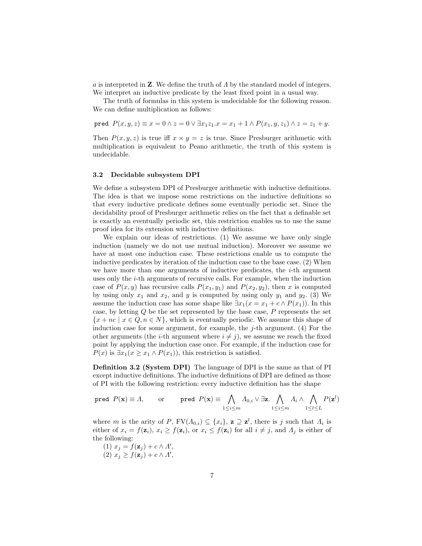a is interpreted in **Z**. We define the truth of  $\Lambda$  by the standard model of integers. We interpret an inductive predicate by the least fixed point in a usual way.

The truth of formulas in this system is undecidable for the following reason. We can define multiplication as follows:

$$
\text{pred } P(x, y, z) \equiv x = 0 \land z = 0 \lor \exists x_1 z_1 \ldots x = x_1 + 1 \land P(x_1, y, z_1) \land z = z_1 + y.
$$

Then  $P(x, y, z)$  is true iff  $x \times y = z$  is true. Since Presburger arithmetic with multiplication is equivalent to Peano arithmetic, the truth of this system is undecidable.

## 3.2 Decidable subsystem DPI

We define a subsystem DPI of Presburger arithmetic with inductive definitions. The idea is that we impose some restrictions on the inductive definitions so that every inductive predicate defines some eventually periodic set. Since the decidability proof of Presburger arithmetic relies on the fact that a definable set is exactly an eventually periodic set, this restriction enables us to use the same proof idea for its extension with inductive definitions.

We explain our ideas of restrictions. (1) We assume we have only single induction (namely we do not use mutual induction). Moreover we assume we have at most one induction case. These restrictions enable us to compute the inductive predicates by iteration of the induction case to the base case. (2) When we have more than one arguments of inductive predicates, the  $i$ -th argument uses only the i-th arguments of recursive calls. For example, when the induction case of  $P(x, y)$  has recursive calls  $P(x_1, y_1)$  and  $P(x_2, y_2)$ , then x is computed by using only  $x_1$  and  $x_2$ , and y is computed by using only  $y_1$  and  $y_2$ . (3) We assume the induction case has some shape like  $\exists x_1(x = x_1 + c \land P(x_1))$ . In this case, by letting  $Q$  be the set represented by the base case,  $P$  represents the set  ${x + nc \mid x \in Q, n \in N}$ , which is eventually periodic. We assume this shape of induction case for some argument, for example, the  $j$ -th argument. (4) For the other arguments (the *i*-th argument where  $i \neq j$ ), we assume we reach the fixed point by applying the induction case once. For example, if the induction case for  $P(x)$  is  $\exists x_1(x \geq x_1 \land P(x_1))$ , this restriction is satisfied.

Definition 3.2 (System DPI) The language of DPI is the same as that of PI except inductive definitions. The inductive definitions of DPI are defined as those of PI with the following restriction: every inductive definition has the shape

$$
\text{pred } P(\mathbf{x}) \equiv \Lambda, \qquad \text{or} \qquad \text{pred } P(\mathbf{x}) \equiv \bigwedge_{1 \leq i \leq m} \Lambda_{0,i} \vee \exists \mathbf{z}. \bigwedge_{1 \leq i \leq m} \Lambda_i \wedge \bigwedge_{1 \leq l \leq L} P(\mathbf{z}^l)
$$

where m is the arity of P,  $\text{FV}(A_{0,i}) \subseteq \{x_i\}$ ,  $\mathbf{z} \supseteq \mathbf{z}^l$ , there is j such that  $A_i$  is either of  $x_i = f(\mathbf{z}_i)$ ,  $x_i \ge f(\mathbf{z}_i)$ , or  $x_i \le f(\mathbf{z}_i)$  for all  $i \ne j$ , and  $\Lambda_j$  is either of the following:

- (1)  $x_j = f(\mathbf{z}_j) + c \wedge A'$ ,
- (2)  $x_j \geq f(\mathbf{z}_j) + c \wedge \Lambda'$ ,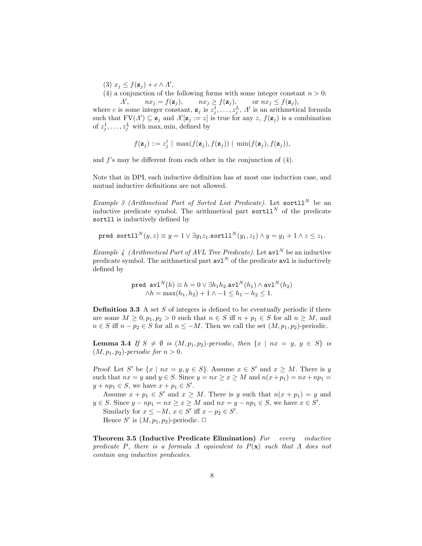- (3)  $x_j \leq f(\mathbf{z}_j) + c \wedge A'$ ,
- (4) a conjunction of the following forms with some integer constant  $n > 0$ :

 $\Lambda', \quad nx_j = f(\mathbf{z}_j), \quad nx_j \ge f(\mathbf{z}_j), \quad \text{or } nx_j \le f(\mathbf{z}_j),$ where c is some integer constant,  $\mathbf{z}_j$  is  $z_j^1, \ldots, z_j^L, \Lambda'$  is an arithmetical formula such that  $\mathrm{FV}(A') \subseteq \mathbf{z}_j$  and  $A'[\mathbf{z}_j := z]$  is true for any  $z, f(\mathbf{z}_j)$  is a combination of  $z_j^1, \ldots, z_j^L$  with max, min, defined by

$$
f(\mathbf{z}_j) ::= z_j^l \mid \max(f(\mathbf{z}_j), f(\mathbf{z}_j)) \mid \min(f(\mathbf{z}_j), f(\mathbf{z}_j)),
$$

and f's may be different from each other in the conjunction of (4).

Note that in DPI, each inductive definition has at most one induction case, and mutual inductive definitions are not allowed.

Example 3 (Arithmetical Part of Sorted List Predicate). Let  $\text{sortll}^N$  be an inductive predicate symbol. The arithmetical part  $\text{sort11}^N$  of the predicate sort11 is inductively defined by

pred sortll<sup>N</sup> $(y, z) \equiv y = 1 \vee \exists y_1 z_1$ .sortll<sup>N</sup> $(y_1, z_1) \wedge y = y_1 + 1 \wedge z \leq z_1$ .

Example 4 (Arithmetical Part of AVL Tree Predicate). Let  $\text{av1}^N$  be an inductive predicate symbol. The arithmetical part  $av1^N$  of the predicate  $av1$  is inductively defined by

$$
\begin{aligned} \text{pred av1}^N(h) &\equiv h = 0 \lor \exists h_1 h_2 . \text{av1}^N(h_1) \land \text{av1}^N(h_2) \\ \land h &= \max(h_1, h_2) + 1 \land -1 \le h_1 - h_2 \le 1. \end{aligned}
$$

**Definition 3.3** A set  $S$  of integers is defined to be eventually periodic if there are some  $M \geq 0, p_1, p_2 > 0$  such that  $n \in S$  iff  $n + p_1 \in S$  for all  $n \geq M$ , and  $n \in S$  iff  $n - p_2 \in S$  for all  $n \leq -M$ . Then we call the set  $(M, p_1, p_2)$ -periodic.

**Lemma 3.4** If  $S \neq \emptyset$  is  $(M, p_1, p_2)$ -periodic, then  $\{x \mid nx = y, y \in S\}$  is  $(M, p_1, p_2)$ -periodic for  $n > 0$ .

Proof. Let S' be  $\{x \mid nx = y, y \in S\}$ . Assume  $x \in S'$  and  $x \geq M$ . There is y such that  $nx = y$  and  $y \in S$ . Since  $y = nx \ge x \ge M$  and  $n(x+p_1) = nx + np_1 =$  $y + np_1 \in S$ , we have  $x + p_1 \in S'$ .

Assume  $x + p_1 \in S'$  and  $x \geq M$ . There is y such that  $n(x + p_1) = y$  and  $y \in S$ . Since  $y - np_1 = nx \ge x \ge M$  and  $nx = y - np_1 \in S$ , we have  $x \in S'$ . Similarly for  $x \leq -M$ ,  $x \in S'$  iff  $x - p_2 \in S'$ .

Hence S' is  $(M, p_1, p_2)$ -periodic.  $\Box$ 

Theorem 3.5 (Inductive Predicate Elimination) For every inductive predicate P, there is a formula  $\Lambda$  equivalent to  $P(\mathbf{x})$  such that  $\Lambda$  does not contain any inductive predicates.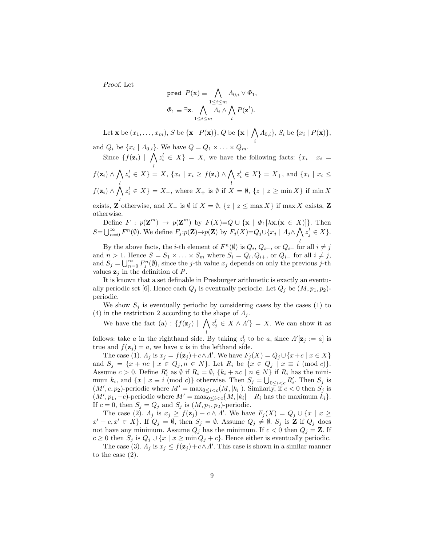Proof. Let

$$
\text{pred } P(\mathbf{x}) \equiv \bigwedge_{\substack{1 \leq i \leq m \\ 1 \leq i \leq m}} \Lambda_{0,i} \vee \Phi_1,
$$

$$
\Phi_1 \equiv \exists \mathbf{z}. \bigwedge_{\substack{1 \leq i \leq m \\ 1 \leq i \leq m}} \Lambda_i \wedge \bigwedge_{l} P(\mathbf{z}^l).
$$

Let  $\mathbf x$  be  $(x_1,\ldots,x_m)$ , S be  $\{\mathbf x \mid P(\mathbf x)\}$ , Q be  $\{\mathbf x \mid \bigwedge$ i  $\Lambda_{0,i}\}, S_i$  be  $\{x_i \mid P(\mathbf{x})\},\$ 

and  $Q_i$  be  $\{x_i \mid A_{0,i}\}$ . We have  $Q = Q_1 \times \ldots \times Q_m$ .

Since  $\{f(\mathbf{z}_i) \mid \bigwedge z_i^l \in X\} = X$ , we have the following facts:  $\{x_i \mid x_i =$ l

 $f(\mathbf{z}_i) \wedge \bigwedge$ l  $z_i^l \in X$ } = X, { $x_i | x_i \ge f(\mathbf{z}_i) \wedge \bigwedge$ l  $z_i^l \in X$ } =  $X_+$ , and  $\{x_i \mid x_i \leq$  $f(\mathbf{z}_i) \wedge \bigwedge z_i^l \in X$  = X<sub>-</sub>, where  $X_+$  is  $\emptyset$  if  $X = \emptyset$ ,  $\{z \mid z \geq \min X\}$  if  $\min X$ 

exists, **Z** otherwise, and X<sub>-</sub> is  $\emptyset$  if  $X = \emptyset$ ,  $\{z \mid z \le \max X\}$  if  $\max X$  exists, **Z** otherwise.

Define  $F: p(\mathbf{Z}^m) \to p(\mathbf{Z}^m)$  by  $F(X)=Q \cup {\mathbf{x} \mid \Phi_1[\lambda \mathbf{x}.(\mathbf{x} \in X)]}.$  Then  $S = \bigcup_{n=0}^{\infty} F^n(\emptyset)$ . We define  $F_j : p(\mathbf{Z}) \to p(\mathbf{Z})$  by  $F_j(X) = Q_j \cup \{x_j \mid A_j \wedge \bigwedge z_j^l \in X\}.$ 

By the above facts, the *i*-th element of  $F^n(\emptyset)$  is  $Q_i$ ,  $Q_{i+}$ , or  $Q_{i-}$  for all  $i \neq j$ and  $n > 1$ . Hence  $S = S_1 \times \ldots \times S_m$  where  $S_i = Q_i, Q_{i+1}$ , or  $Q_{i-1}$  for all  $i \neq j$ , and  $S_j = \bigcup_{n=0}^{\infty} F_j^n(\emptyset)$ , since the j-th value  $x_j$  depends on only the previous j-th values  $z_i$  in the definition of P.

It is known that a set definable in Presburger arithmetic is exactly an eventually periodic set [6]. Hence each  $Q_j$  is eventually periodic. Let  $Q_j$  be  $(M, p_1, p_2)$ periodic.

We show  $S_i$  is eventually periodic by considering cases by the cases (1) to (4) in the restriction 2 according to the shape of  $\Lambda_j$ .

We have the fact (a) :  $\{f(\mathbf{z}_j) | \bigwedge z_j^l \in X \wedge \Lambda'\} = X$ . We can show it as l

follows: take a in the righthand side. By taking  $z_j^l$  to be a, since  $\Lambda'[\mathbf{z}_j := a]$  is true and  $f(\mathbf{z}_i) = a$ , we have a is in the lefthand side.

The case (1).  $\Lambda_j$  is  $x_j = f(\mathbf{z}_j) + c \wedge \Lambda'$ . We have  $F_j(X) = Q_j \cup \{x + c \mid x \in X\}$ and  $S_j = \{x + nc \mid x \in Q_j, n \in N\}$ . Let  $R_i$  be  $\{x \in Q_j \mid x \equiv i \pmod{c}\}$ . Assume  $c > 0$ . Define  $R'_i$  as  $\emptyset$  if  $R_i = \emptyset$ ,  $\{k_i + nc \mid n \in N\}$  if  $R_i$  has the minimum  $k_i$ , and  $\{x \mid x \equiv i \pmod{c}\}$  otherwise. Then  $S_j = \bigcup_{0 \leq i < c} R'_i$ . Then  $S_j$  is  $(M', c, p_2)$ -periodic where  $M' = \max_{0 \leq i < c} (M, |k_i|)$ . Similarly, if  $c < 0$  then  $S_j$  is  $(M', p_1, -c)$ -periodic where  $M' = \max_{0 \leq i < c} \{ M, |k_i| \mid R_i \text{ has the maximum } k_i \}.$ If  $c = 0$ , then  $S_j = Q_j$  and  $S_j$  is  $(M, p_1, p_2)$ -periodic.

The case (2).  $\Lambda_j$  is  $x_j \ge f(\mathbf{z}_j) + c \wedge \Lambda'$ . We have  $F_j(X) = Q_j \cup \{x \mid x \ge f(\mathbf{z}_j) + c \wedge \Lambda'\}$ .  $x' + c, x' \in X$ . If  $Q_j = \emptyset$ , then  $S_j = \emptyset$ . Assume  $Q_j \neq \emptyset$ .  $S_j$  is **Z** if  $Q_j$  does not have any minimum. Assume  $Q_j$  has the minimum. If  $c < 0$  then  $Q_j = \mathbf{Z}$ . If  $c \geq 0$  then  $S_j$  is  $Q_j \cup \{x \mid x \geq \min Q_j + c\}$ . Hence either is eventually periodic.

The case (3).  $\Lambda_j$  is  $x_j \le f(\mathbf{z}_j) + c \wedge \Lambda'$ . This case is shown in a similar manner to the case (2).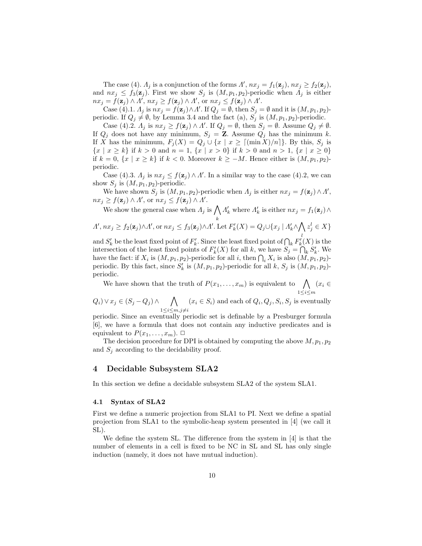The case (4).  $\Lambda_j$  is a conjunction of the forms  $\Lambda', nx_j = f_1(\mathbf{z}_j), nx_j \ge f_2(\mathbf{z}_j)$ , and  $nx_j \leq f_3(\mathbf{z}_j)$ . First we show  $S_j$  is  $(M, p_1, p_2)$ -periodic when  $\Lambda_j$  is either  $nx_j = f(\mathbf{z}_j) \wedge A', nx_j \ge f(\mathbf{z}_j) \wedge A', \text{ or } nx_j \le f(\mathbf{z}_j) \wedge A'.$ 

Case (4).1.  $\Lambda_j$  is  $nx_j = f(\mathbf{z}_j) \wedge \Lambda'$ . If  $Q_j = \emptyset$ , then  $S_j = \emptyset$  and it is  $(M, p_1, p_2)$ periodic. If  $Q_i \neq \emptyset$ , by Lemma 3.4 and the fact (a),  $S_i$  is  $(M, p_1, p_2)$ -periodic.

Case (4).2.  $\Lambda_j$  is  $nx_j \ge f(\mathbf{z}_j) \wedge \Lambda'$ . If  $Q_j = \emptyset$ , then  $S_j = \emptyset$ . Assume  $Q_j \ne \emptyset$ . If  $Q_j$  does not have any minimum,  $S_j = \mathbf{Z}$ . Assume  $Q_j$  has the minimum k. If X has the minimum,  $F_j(X) = Q_j \cup \{x \mid x \geq \lfloor (\min X)/n \rfloor\}$ . By this,  $S_j$  is  ${x \mid x \ge k}$  if  $k > 0$  and  $n = 1, \{x \mid x > 0\}$  if  $k > 0$  and  $n > 1, \{x \mid x \ge 0\}$ if  $k = 0$ ,  $\{x \mid x \ge k\}$  if  $k < 0$ . Moreover  $k ≥ -M$ . Hence either is  $(M, p_1, p_2)$ periodic.

Case (4).3.  $\Lambda_j$  is  $nx_j \le f(\mathbf{z}_j) \wedge \Lambda'$ . In a similar way to the case (4).2, we can show  $S_i$  is  $(M, p_1, p_2)$ -periodic.

We have shown  $S_j$  is  $(M, p_1, p_2)$ -periodic when  $\Lambda_j$  is either  $nx_j = f(\mathbf{z}_j) \wedge \Lambda'$ ,  $nx_j \ge f(\mathbf{z}_j) \wedge A', \text{ or } nx_j \le f(\mathbf{z}_j) \wedge A'.$ 

We show the general case when  $\Lambda_j$  is  $\bigwedge$ k  $\Lambda'_k$  where  $\Lambda'_k$  is either  $nx_j = f_1(\mathbf{z}_j) \wedge$ 

$$
\Lambda', nx_j \ge f_2(\mathbf{z}_j) \wedge \Lambda', \text{ or } nx_j \le f_3(\mathbf{z}_j) \wedge \Lambda'. \text{ Let } F'_k(X) = Q_j \cup \{x_j \mid \Lambda'_k \wedge \bigwedge_l z_j^l \in X\}
$$

and  $S'_k$  be the least fixed point of  $F'_k$ . Since the least fixed point of  $\bigcap_k F'_k(X)$  is the intersection of the least fixed points of  $F'_{k}(X)$  for all k, we have  $S_{j} = \bigcap_{k} S'_{k}$ . We have the fact: if  $X_i$  is  $(M, p_1, p_2)$ -periodic for all i, then  $\bigcap_i X_i$  is also  $(M, p_1, p_2)$ periodic. By this fact, since  $S'_{k}$  is  $(M, p_1, p_2)$ -periodic for all k,  $S_j$  is  $(M, p_1, p_2)$ periodic.

We have shown that the truth of  $P(x_1, \ldots, x_m)$  is equivalent to  $\bigwedge (x_i \in$  $1\leq i\leq m$ 

$$
Q_i) \vee x_j \in (S_j - Q_j) \wedge \bigwedge_{1 \le i \le m, j \ne i} (x_i \in S_i) \text{ and each of } Q_i, Q_j, S_i, S_j \text{ is eventually}
$$

periodic. Since an eventually periodic set is definable by a Presburger formula [6], we have a formula that does not contain any inductive predicates and is equivalent to  $P(x_1, \ldots, x_m)$ .  $\Box$ 

The decision procedure for DPI is obtained by computing the above  $M, p_1, p_2$ and  $S_i$  according to the decidability proof.

#### 4 Decidable Subsystem SLA2

In this section we define a decidable subsystem SLA2 of the system SLA1.

## 4.1 Syntax of SLA2

First we define a numeric projection from SLA1 to PI. Next we define a spatial projection from SLA1 to the symbolic-heap system presented in [4] (we call it SL).

We define the system SL. The difference from the system in [4] is that the number of elements in a cell is fixed to be NC in SL and SL has only single induction (namely, it does not have mutual induction).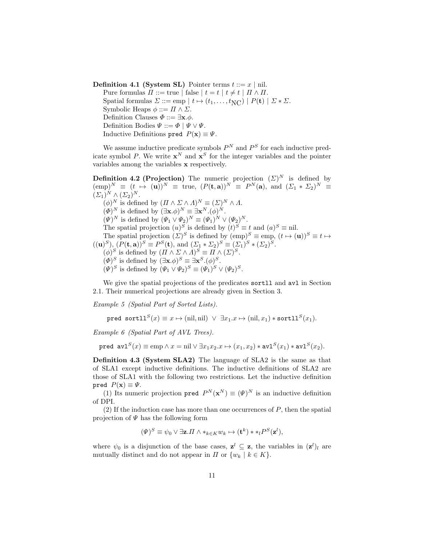**Definition 4.1 (System SL)** Pointer terms  $t ::= x \mid \text{nil.}$ 

Pure formulas  $\Pi ::=$  true | false  $|t = t | t \neq t | \Pi \wedge \Pi$ . Spatial formulas  $\Sigma ::= \text{emp} | t \mapsto (t_1, \ldots, t_{NC}) | P(\mathbf{t}) | \Sigma * \Sigma.$ Symbolic Heaps  $\phi ::= \Pi \wedge \Sigma$ . Definition Clauses  $\Phi ::= \exists \mathbf{x}.\phi$ . Definition Bodies  $\Psi ::= \Phi \mid \Psi \vee \Psi$ . Inductive Definitions pred  $P(\mathbf{x}) \equiv \Psi$ .

We assume inductive predicate symbols  $P<sup>N</sup>$  and  $P<sup>S</sup>$  for each inductive predicate symbol P. We write  $\mathbf{x}^N$  and  $\mathbf{x}^S$  for the integer variables and the pointer variables among the variables x respectively.

**Definition 4.2 (Projection)** The numeric projection  $(\Sigma)^N$  is defined by  $(\text{emp})^N \equiv (t \mapsto (\mathbf{u}))^N \equiv \text{true}, (P(\mathbf{t}, \mathbf{a}))^N \equiv P^N(\mathbf{a}), \text{ and } (\Sigma_1 * \Sigma_2)^N \equiv$  $(\Sigma_1)^N \wedge (\Sigma_2)^N$ .  $(\phi)^N$  is defined by  $(\Pi \wedge \Sigma \wedge \Lambda)^N \equiv (\Sigma)^N \wedge \Lambda$ .  $(\Phi)^N$  is defined by  $(\exists \mathbf{x} \cdot \phi)^N \equiv \exists \mathbf{x}^N . (\phi)^N$ .

 $(\Psi)^N$  is defined by  $(\Psi_1 \vee \Psi_2)^N \equiv (\Psi_1)^N \vee (\Psi_2)^N$ .

The spatial projection  $(u)^S$  is defined by  $(t)^S \equiv t$  and  $(a)^S \equiv \text{nil}$ .

The spatial projection  $(\Sigma)^S$  is defined by  $(\text{emp})^S \equiv \text{emp}, (t \mapsto (\mathbf{u}))^S \equiv t \mapsto$  $((\mathbf{u})^S)$ ,  $(P(\mathbf{t}, \mathbf{a}))^S \equiv P^S(\mathbf{t})$ , and  $(\Sigma_1 * \Sigma_2)^S \equiv (\Sigma_1)^S * (\Sigma_2)^S$ .

- $(\phi)^S$  is defined by  $(\Pi \wedge \Sigma \wedge \Lambda)^S \equiv \Pi \wedge (\Sigma)^S$ .
- $(\Phi)^S$  is defined by  $(\exists \mathbf{x}.\phi)^S \equiv \exists \mathbf{x}^S. (\phi)^S$ .
- $(\Psi)^S$  is defined by  $(\Psi_1 \vee \Psi_2)^S \equiv (\Psi_1)^S \vee (\Psi_2)^S$ .

We give the spatial projections of the predicates sort 11 and av1 in Section 2.1. Their numerical projections are already given in Section 3.

Example 5 (Spatial Part of Sorted Lists).

pred sortll $S(x) \equiv x \mapsto (\text{nil, nil}) \vee \exists x_1 \ldots \mapsto (\text{nil}, x_1) * \text{sortll}S(x_1).$ 

Example 6 (Spatial Part of AVL Trees).

pred avl $S(x) \equiv \text{emp} \wedge x = \text{nil} \vee \exists x_1 x_2 \ldots \mapsto (x_1, x_2) * \text{avl}^S(x_1) * \text{avl}^S(x_2)$ .

Definition 4.3 (System SLA2) The language of SLA2 is the same as that of SLA1 except inductive definitions. The inductive definitions of SLA2 are those of SLA1 with the following two restrictions. Let the inductive definition pred  $P(\mathbf{x}) \equiv \Psi$ .

(1) Its numeric projection pred  $P^{N}(\mathbf{x}^{N}) \equiv (\Psi)^{N}$  is an inductive definition of DPI.

 $(2)$  If the induction case has more than one occurrences of  $P$ , then the spatial projection of  $\Psi$  has the following form

$$
(\Psi)^S \equiv \psi_0 \vee \exists \mathbf{z}.\Pi \wedge *_k \in K w_k \mapsto (\mathbf{t}^k) * *_l P^S(\mathbf{z}^l),
$$

where  $\psi_0$  is a disjunction of the base cases,  $\mathbf{z}^l \subseteq \mathbf{z}$ , the variables in  $(\mathbf{z}^l)_l$  are mutually distinct and do not appear in  $\Pi$  or  $\{w_k \mid k \in K\}$ .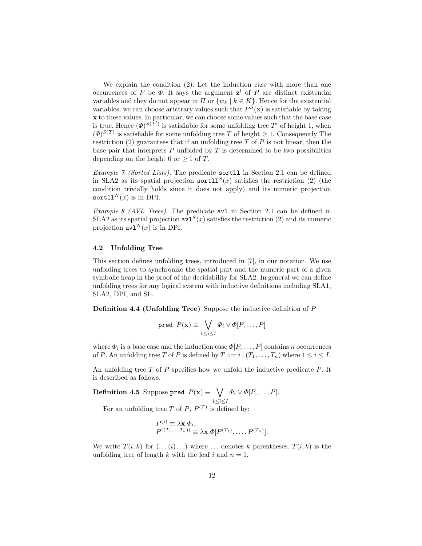We explain the condition (2). Let the induction case with more than one occurrences of P be  $\Phi$ . It says the argument  $z^l$  of P are distinct existential variables and they do not appear in  $\Pi$  or  $\{w_k \mid k \in K\}$ . Hence for the existential variables, we can choose arbitrary values such that  $P^{S}(\mathbf{x})$  is satisfiable by taking x to these values. In particular, we can choose some values such that the base case is true. Hence  $(\Phi)^{S(\tilde{T}')}$  is satisfiable for some unfolding tree T' of height 1, when  $(\Phi)^{S(T)}$  is satisfiable for some unfolding tree T of height  $\geq 1$ . Consequently The restriction (2) guarantees that if an unfolding tree  $T$  of  $P$  is not linear, then the base pair that interprets  $P$  unfolded by  $T$  is determined to be two possibilities depending on the height 0 or  $\geq 1$  of T.

Example 7 (Sorted Lists). The predicate sort11 in Section 2.1 can be defined in SLA2 as its spatial projection sortll<sup>S</sup>(x) satisfies the restriction (2) (the condition trivially holds since it does not apply) and its numeric projection sortl $1^N(x)$  is in DPI.

Example 8 (AVL Trees). The predicate  $av1$  in Section 2.1 can be defined in SLA2 as its spatial projection  $\text{av1}^{S}(x)$  satisfies the restriction (2) and its numeric projection  $av1<sup>N</sup>(x)$  is in DPI.

## 4.2 Unfolding Tree

This section defines unfolding trees, introduced in [7], in our notation. We use unfolding trees to synchronize the spatial part and the numeric part of a given symbolic heap in the proof of the decidability for SLA2. In general we can define unfolding trees for any logical system with inductive definitions including SLA1, SLA2, DPI, and SL.

Definition 4.4 (Unfolding Tree) Suppose the inductive definition of P

$$
\text{pred } P(\mathbf{x}) \equiv \bigvee_{1 \leq i \leq I} \Phi_i \vee \Phi[P, \dots, P]
$$

where  $\Phi_i$  is a base case and the induction case  $\Phi[P,\ldots,P]$  contains n occurrences of P. An unfolding tree T of P is defined by  $T ::= i | (T_1, \ldots, T_n)$  where  $1 \leq i \leq I$ .

An unfolding tree  $T$  of  $P$  specifies how we unfold the inductive predicate  $P$ . It is described as follows.

Definition 4.5 Suppose pred  $P(\mathbf{x}) \equiv \sqrt{\frac{\sum_{i=1}^{n} (x_i - x_i)^2}{n}}$  $1\leq i \leq I$  $\Phi_i \vee \Phi[P,\ldots,P].$ 

For an unfolding tree T of P,  $P^{(T)}$  is defined by:

$$
P^{(i)} \equiv \lambda \mathbf{x}.\Phi_i,
$$
  

$$
P^{((T_1,\ldots,T_n))} \equiv \lambda \mathbf{x}.\Phi[P^{(T_1)},\ldots,P^{(T_n)}].
$$

We write  $T(i, k)$  for  $(\ldots (i) \ldots)$  where  $\ldots$  denotes k parentheses.  $T(i, k)$  is the unfolding tree of length k with the leaf i and  $n = 1$ .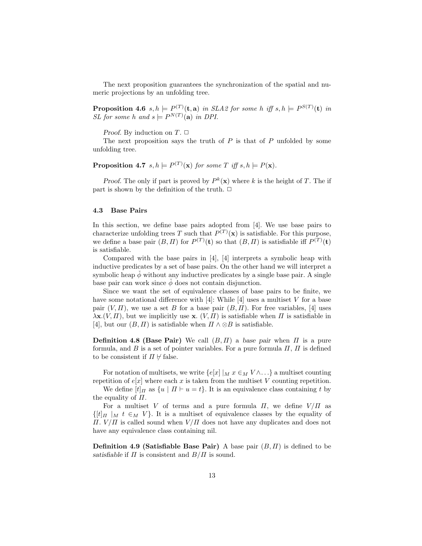The next proposition guarantees the synchronization of the spatial and numeric projections by an unfolding tree.

**Proposition 4.6**  $s, h \models P^{(T)}(\mathbf{t}, \mathbf{a})$  in SLA2 for some h iff  $s, h \models P^{S(T)}(\mathbf{t})$  in SL for some h and  $s \models P^{N(T)}(a)$  in DPI.

*Proof.* By induction on  $T. \Box$ 

The next proposition says the truth of  $P$  is that of  $P$  unfolded by some unfolding tree.

**Proposition 4.7**  $s, h \models P^{(T)}(\mathbf{x})$  for some T iff  $s, h \models P(\mathbf{x})$ .

*Proof.* The only if part is proved by  $P^k(\mathbf{x})$  where k is the height of T. The if part is shown by the definition of the truth.  $\Box$ 

#### 4.3 Base Pairs

In this section, we define base pairs adopted from [4]. We use base pairs to characterize unfolding trees T such that  $P^{(T)}(\mathbf{x})$  is satisfiable. For this purpose, we define a base pair  $(B, \Pi)$  for  $P^{(T)}(\mathbf{t})$  so that  $(B, \Pi)$  is satisfiable iff  $P^{(T)}(\mathbf{t})$ is satisfiable.

Compared with the base pairs in [4], [4] interprets a symbolic heap with inductive predicates by a set of base pairs. On the other hand we will interpret a symbolic heap  $\phi$  without any inductive predicates by a single base pair. A single base pair can work since  $\dot{\phi}$  does not contain disjunction.

Since we want the set of equivalence classes of base pairs to be finite, we have some notational difference with  $[4]$ : While  $[4]$  uses a multiset V for a base pair  $(V, \Pi)$ , we use a set B for a base pair  $(B, \Pi)$ . For free variables, [4] uses  $\lambda$ **x**.(V,  $\Pi$ ), but we implicitly use **x**. (V,  $\Pi$ ) is satisfiable when  $\Pi$  is satisfiable in [4], but our  $(B, \Pi)$  is satisfiable when  $\Pi \wedge \otimes B$  is satisfiable.

**Definition 4.8 (Base Pair)** We call  $(B, \Pi)$  a base pair when  $\Pi$  is a pure formula, and B is a set of pointer variables. For a pure formula  $\Pi$ ,  $\Pi$  is defined to be consistent if  $\Pi \not\models$  false.

For notation of multisets, we write  $\{e[x] \mid M \in M \setminus N$ ... $\}$  a multiset counting repetition of  $e[x]$  where each x is taken from the multiset V counting repetition.

We define  $[t]_H$  as  $\{u \mid \Pi \vdash u = t\}$ . It is an equivalence class containing t by the equality of  $\Pi$ .

For a multiset V of terms and a pure formula  $\Pi$ , we define  $V/\Pi$  as  $\{[t]_{\Pi} |_{M} t \in M V\}$ . It is a multiset of equivalence classes by the equality of  $\Pi. V/\Pi$  is called sound when  $V/\Pi$  does not have any duplicates and does not have any equivalence class containing nil.

**Definition 4.9 (Satisfiable Base Pair)** A base pair  $(B, \Pi)$  is defined to be satisfiable if  $\Pi$  is consistent and  $B/\Pi$  is sound.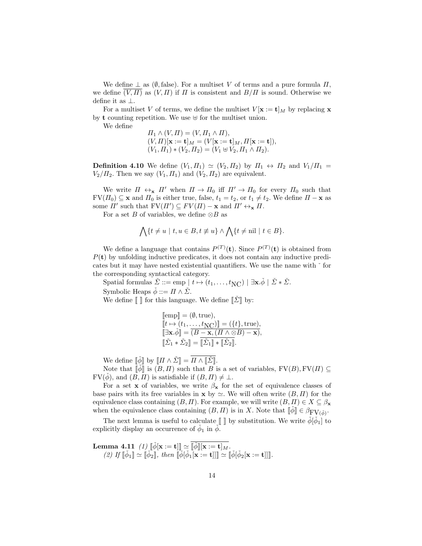We define  $\perp$  as  $(\emptyset, \text{false})$ . For a multiset V of terms and a pure formula  $\Pi$ , we define  $(V, \Pi)$  as  $(V, \Pi)$  if  $\Pi$  is consistent and  $B/\Pi$  is sound. Otherwise we define it as ⊥.

For a multiset V of terms, we define the multiset  $V[\mathbf{x} := \mathbf{t}]_M$  by replacing **x** by **t** counting repetition. We use  $\uplus$  for the multiset union.

We define

 $\Pi_1 \wedge (V, \Pi) = (V, \Pi_1 \wedge \Pi),$  $(V, \Pi)[\mathbf{x} := \mathbf{t}]_M = (V[\mathbf{x} := \mathbf{t}]_M, \Pi[\mathbf{x} := \mathbf{t}]),$  $(V_1, \Pi_1) * (V_2, \Pi_2) = (V_1 \uplus V_2, \Pi_1 \wedge \Pi_2).$ 

**Definition 4.10** We define  $(V_1, \Pi_1) \simeq (V_2, \Pi_2)$  by  $\Pi_1 \leftrightarrow \Pi_2$  and  $V_1/\Pi_1 =$  $V_2/\Pi_2$ . Then we say  $(V_1, \Pi_1)$  and  $(V_2, \Pi_2)$  are equivalent.

We write  $\Pi \leftrightarrow_{\mathbf{x}} \Pi'$  when  $\Pi \rightarrow \Pi_0$  iff  $\Pi' \rightarrow \Pi_0$  for every  $\Pi_0$  such that  $FV(\Pi_0) \subseteq \mathbf{x}$  and  $\Pi_0$  is either true, false,  $t_1 = t_2$ , or  $t_1 \neq t_2$ . We define  $\Pi - \mathbf{x}$  as some  $\Pi'$  such that  $\mathrm{FV}(\Pi') \subseteq FV(\Pi) - \mathbf{x}$  and  $\Pi' \leftrightarrow_{\mathbf{x}} \Pi$ .

For a set B of variables, we define  $\otimes B$  as

$$
\bigwedge \{t \neq u \mid t, u \in B, t \neq u\} \land \bigwedge \{t \neq \text{nil} \mid t \in B\}.
$$

We define a language that contains  $P^{(T)}(t)$ . Since  $P^{(T)}(t)$  is obtained from  $P(t)$  by unfolding inductive predicates, it does not contain any inductive predicates but it may have nested existential quantifiers. We use the name with ˇ for the corresponding syntactical category.

Spatial formulas  $\check{\Sigma} ::= \text{emp} \mid t \mapsto (t_1, \ldots, t_{NC}) \mid \exists \mathbf{x}. \check{\phi} \mid \check{\Sigma} * \check{\Sigma}.$ Symbolic Heaps  $\check{\phi} ::= \Pi \wedge \check{\Sigma}$ .

We define  $\llbracket \cdot \rrbracket$  for this language. We define  $\llbracket \check{\Sigma} \rrbracket$  by:

$$
\begin{array}{l}\n[\text{emp}] = (\emptyset, \text{true}), \n\llbracket t \mapsto (t_1, \dots, t_{\text{NC}}) \rrbracket = (\{t\}, \text{true}), \n\llbracket \exists \mathbf{x}. \check{\phi} \rrbracket = (B - \mathbf{x}, (\Pi \wedge \otimes B) - \mathbf{x}), \n\llbracket \check{\Sigma}_1 * \check{\Sigma}_2 \rrbracket = \llbracket \check{\Sigma}_1 \rrbracket * \llbracket \check{\Sigma}_2 \rrbracket.\n\end{array}
$$

We define  $\llbracket \check{\phi} \rrbracket$  by  $\llbracket \Pi \wedge \check{\Sigma} \rrbracket = \Pi \wedge \llbracket \check{\Sigma} \rrbracket$ .

Note that  $[\![\phi]\!]$  is  $(B,\Pi)$  such that B is a set of variables,  $FV(B), FV(\Pi) \subset$  $FV(\phi)$ , and  $(B, \Pi)$  is satisfiable if  $(B, \Pi) \neq \bot$ .

For a set **x** of variables, we write  $\beta_{\mathbf{x}}$  for the set of equivalence classes of base pairs with its free variables in **x** by  $\approx$ . We will often write  $(B, \Pi)$  for the equivalence class containing  $(B, \Pi)$ . For example, we will write  $(B, \Pi) \in X \subseteq \beta_{\mathbf{x}}$ when the equivalence class containing  $(B, \Pi)$  is in X. Note that  $[\![\check{\phi}]\!] \in \beta_{\text{FV}(\check{\phi})}$ .

The next lemma is useful to calculate  $[\![\ ]\!]$  by substitution. We write  $\check{\phi}[\check{\phi}_1]$  to explicitly display an occurrence of  $\check{\phi}_1$  in  $\check{\phi}$ .

 $\textbf{Lemma 4.11} \ \ (1) \ \llbracket \check{\phi}[\mathbf{x} := \mathbf{t}] \rrbracket \simeq \overline{\llbracket \check{\phi} \rrbracket [\mathbf{x} := \mathbf{t}]_M}.$ (2) If  $\llbracket \check{\phi}_1 \rrbracket \simeq \llbracket \check{\phi}_2 \rrbracket$ , then  $\llbracket \check{\phi}[\check{\phi}_1[\mathbf{x}:=\mathbf{t}]] \rrbracket \simeq \llbracket \check{\phi}[\check{\phi}_2[\mathbf{x}:=\mathbf{t}]] \rrbracket$ .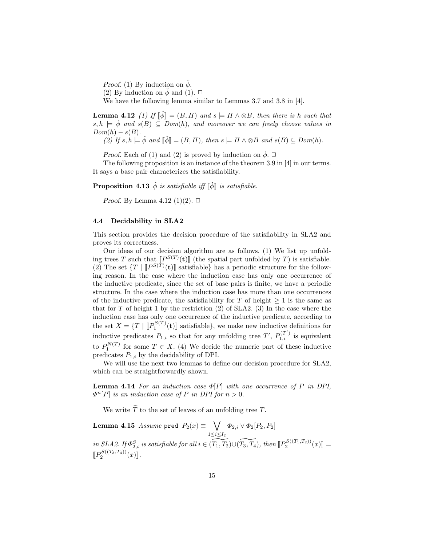*Proof.* (1) By induction on  $\check{\phi}$ .

(2) By induction on  $\phi$  and (1).  $\Box$ 

We have the following lemma similar to Lemmas 3.7 and 3.8 in [4].

**Lemma 4.12** (1) If  $[\![\check{\phi}]\!] = (B, \Pi)$  and  $s \models \Pi \land \otimes B$ , then there is h such that  $s, h \models \phi$  and  $s(B) \subseteq Dom(h)$ , and moreover we can freely choose values in  $Dom(h) - s(B)$ .

(2) If  $s, h \models \check{\phi}$  and  $\llbracket \check{\phi} \rrbracket = (B, \Pi),$  then  $s \models \Pi \land \otimes B$  and  $s(B) \subseteq Dom(h)$ .

Proof. Each of (1) and (2) is proved by induction on  $\check{\phi}$ .  $\Box$ 

The following proposition is an instance of the theorem 3.9 in [4] in our terms. It says a base pair characterizes the satisfiability.

**Proposition 4.13**  $\check{\phi}$  is satisfiable iff  $\lbrack \check{\phi} \rbrack$  is satisfiable.

Proof. By Lemma 4.12 (1)(2).  $\Box$ 

### 4.4 Decidability in SLA2

This section provides the decision procedure of the satisfiability in SLA2 and proves its correctness.

Our ideas of our decision algorithm are as follows. (1) We list up unfolding trees T such that  $[P^{S(T)}(t)]$  (the spatial part unfolded by T) is satisfiable. (2) The set  $\{T \mid \llbracket P^{S(T)}(\mathbf{t}) \rrbracket$  satisfiable has a periodic structure for the following reason. In the case where the induction case has only one occurrence of the inductive predicate, since the set of base pairs is finite, we have a periodic structure. In the case where the induction case has more than one occurrences of the inductive predicate, the satisfiability for T of height  $\geq 1$  is the same as that for T of height 1 by the restriction  $(2)$  of SLA2.  $(3)$  In the case where the induction case has only one occurrence of the inductive predicate, according to the set  $X = \{T \mid [P_1^{S(T)}(t)]\}$  satisfiable}, we make new inductive definitions for inductive predicates  $P_{1,i}$  so that for any unfolding tree  $T'$ ,  $P_{1,i}^{(T')}$  is equivalent to  $P_1^{N(T)}$  for some  $T \in X$ . (4) We decide the numeric part of these inductive predicates  $P_{1,i}$  by the decidability of DPI.

We will use the next two lemmas to define our decision procedure for SLA2, which can be straightforwardly shown.

**Lemma 4.14** For an induction case  $\Phi[P]$  with one occurrence of P in DPI,  $\Phi^{n}[P]$  is an induction case of P in DPI for  $n > 0$ .

We write  $\widetilde{T}$  to the set of leaves of an unfolding tree T.

Lemma 4.15 Assume pred  $P_2(x) \equiv \sqrt{}$  $1 \leq i \leq I_2$  $\Phi_{2,i} \vee \Phi_{2}[P_{2},P_{2}]$ in SLA2. If  $\Phi_{2,i}^S$  is satisfiable for all  $i \in \widetilde{(T_1, T_2)} \cup \widetilde{(T_3, T_4)}$ , then  $\llbracket P_2^{S((T_1, T_2))}(x) \rrbracket =$  $\llbracket P_2^{S((T_3,T_4))}(x) \rrbracket.$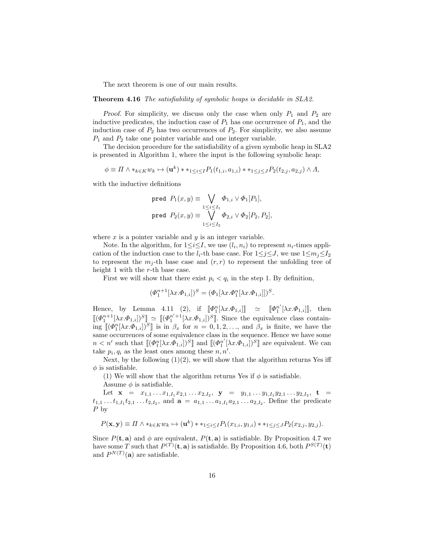The next theorem is one of our main results.

#### Theorem 4.16 The satisfiability of symbolic heaps is decidable in SLA2.

Proof. For simplicity, we discuss only the case when only  $P_1$  and  $P_2$  are inductive predicates, the induction case of  $P_1$  has one occurrence of  $P_1$ , and the induction case of  $P_2$  has two occurrences of  $P_2$ . For simplicity, we also assume  $P_1$  and  $P_2$  take one pointer variable and one integer variable.

The decision procedure for the satisfiability of a given symbolic heap in SLA2 is presented in Algorithm 1, where the input is the following symbolic heap:

$$
\phi \equiv \Pi \wedge *_{{k \in K}} w_k \mapsto (\mathbf{u}^k) * *_{{1 \le i \le I}} P_1(t_{1,i}, a_{1,i}) * *_{{1 \le j \le J}} P_2(t_{2,j}, a_{2,j}) \wedge \Lambda,
$$

with the inductive definitions

$$
\begin{aligned}\n\text{pred } P_1(x, y) &\equiv \bigvee_{1 \leq i \leq I_1} \Phi_{1,i} \vee \Phi_1[P_1], \\
\text{pred } P_2(x, y) &\equiv \bigvee_{1 \leq i \leq I_2} \Phi_{2,i} \vee \Phi_2[P_2, P_2],\n\end{aligned}
$$

where  $x$  is a pointer variable and  $y$  is an integer variable.

Note. In the algorithm, for  $1 \leq i \leq I$ , we use  $(l_i, n_i)$  to represent  $n_i$ -times application of the induction case to the  $l_i$ -th base case. For  $1 \leq j \leq J$ , we use  $1 \leq m_j \leq I_2$ to represent the  $m_j$ -th base case and  $(r, r)$  to represent the unfolding tree of height 1 with the r-th base case.

First we will show that there exist  $p_i < q_i$  in the step 1. By definition,

$$
(\varPhi_1^{n+1}[\lambda x.\varPhi_{1,i}])^S = (\varPhi_1[\lambda x.\varPhi_1^{n}[\lambda x.\varPhi_{1,i}]])^S.
$$

Hence, by Lemma 4.11 (2), if  $[\![\Phi^n_1[\lambda x.\Phi_{1,i}]\!] \simeq [\![\Phi^{n'}_1[\lambda x.\Phi_{1,i}]\!]$ , then  $[(\Phi_1^{n+1}[\lambda x.\Phi_{1,i}])^S] \sim [[(\Phi_1^{n'+1}[\lambda x.\Phi_{1,i}])^S]$ . Since the equivalence class containing  $[(\Phi_1^n[\lambda x.\Phi_{1,i}])^S]$  is in  $\beta_x$  for  $n = 0, 1, 2, \ldots$ , and  $\beta_x$  is finite, we have the same occurrences of some equivalence class in the sequence. Hence we have some  $n < n'$  such that  $[(\Phi_1^n[\lambda x.\Phi_{1,i}])^S]$  and  $[(\Phi_1^{n'}[\lambda x.\Phi_{1,i}])^S]$  are equivalent. We can take  $p_i, q_i$  as the least ones among these  $n, n'$ .

Next, by the following  $(1)(2)$ , we will show that the algorithm returns Yes iff  $\phi$  is satisfiable.

(1) We will show that the algorithm returns Yes if  $\phi$  is satisfiable.

Assume  $\phi$  is satisfiable.

Let  $\mathbf{x} = x_{1,1} \dots x_{1,I_1} x_{2,1} \dots x_{2,I_2}, \mathbf{y} = y_{1,1} \dots y_{1,I_1} y_{2,1} \dots y_{2,I_2}, \mathbf{t} =$  $t_{1,1} \ldots t_{1,I_1} t_{2,1} \ldots t_{2,I_2}$ , and  $\mathbf{a} = a_{1,1} \ldots a_{1,I_1} a_{2,1} \ldots a_{2,I_2}$ . Define the predicate P by

$$
P(\mathbf{x}, \mathbf{y}) \equiv \Pi \wedge *_{k \in K} w_k \mapsto (\mathbf{u}^k) * *_{1 \leq i \leq I} P_1(x_{1,i}, y_{1,i}) * *_{1 \leq j \leq J} P_2(x_{2,j}, y_{2,j}).
$$

Since  $P(\mathbf{t}, \mathbf{a})$  and  $\phi$  are equivalent,  $P(\mathbf{t}, \mathbf{a})$  is satisfiable. By Proposition 4.7 we have some T such that  $P^{(T)}(\mathbf{t}, \mathbf{a})$  is satisfiable. By Proposition 4.6, both  $P^{S(T)}(\mathbf{t})$ and  $P^{N(T)}(\mathbf{a})$  are satisfiable.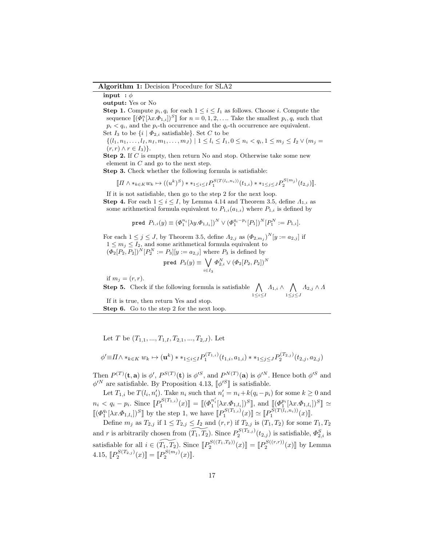#### Algorithm 1: Decision Procedure for SLA2

#### input :  $\phi$

output: Yes or No

**Step 1.** Compute  $p_i, q_i$  for each  $1 \leq i \leq I_1$  as follows. Choose *i*. Compute the sequence  $[(\Phi_1^n[\lambda x.\Phi_{1,i}])^S]$  for  $n = 0, 1, 2, \ldots$  Take the smallest  $p_i, q_i$  such that  $p_i < q_i$ , and the  $p_i$ -th occurrence and the  $q_i$ -th occurrence are equivalent. Set  $I_3$  to be  $\{i \mid \Phi_{2,i} \text{ satisfies } X \cup C \text{ to be } I_3\}$ 

 $\{(l_1, n_1, \ldots, l_I, n_I, m_1, \ldots, m_J) \mid 1 \leq l_i \leq I_1, 0 \leq n_i < q_i, 1 \leq m_j \leq I_2 \vee (m_j =$  $(r, r) \wedge r \in I_3$  }.

Step 2. If C is empty, then return No and stop. Otherwise take some new element in  $C$  and go to the next step.

Step 3. Check whether the following formula is satisfiable:

$$
[\![\Pi \wedge *_k \in K w_k \mapsto ((u^k)^S) * *_{1 \leq i \leq I} P_1^{S(T(l_i, n_i))}(t_{1,i}) * *_{1 \leq j \leq J} P_2^{S(m_j)}(t_{2,j})]\!].
$$

If it is not satisfiable, then go to the step 2 for the next loop. **Step 4.** For each  $1 \leq i \leq I$ , by Lemma 4.14 and Theorem 3.5, define  $\Lambda_{1,i}$  as some arithmetical formula equivalent to  $P_{1,i}(a_{1,i})$  where  $P_{1,i}$  is defined by

$$
\text{pred } P_{1,i}(y) \equiv (\varPhi_1^{n_i}[\lambda y. \varPhi_{1,l_i}])^N \vee (\varPhi_1^{q_i-p_i}[P_1])^N [P_1^N := P_{1,i}].
$$

For each  $1 \leq j \leq J$ , by Theorem 3.5, define  $\Lambda_{2,j}$  as  $(\Phi_{2,m_j})^N[y := a_{2,j}]$  if  $1 \leq m_j \leq I_2$ , and some arithmetical formula equivalent to  $(\Phi, [P, P_1])^N [P^N] = P_1 [\psi] = g_1$ , where  $P_2$  is defined by  $(\Phi_2|P_2)$ 

$$
[P_2, P_2]
$$
<sup>N</sup> $[P_2^N := P_3][y := a_{2,j}]$  where  $P_3$  is defined by

$$
\text{pred } P_3(y) \equiv \bigvee_{i \in I_3} \Phi_{2,i}^N \vee (\Phi_2[P_2, P_2])^N
$$

if  $m_j = (r, r)$ .

Step 5. Check if the following formula is satisfiable  $\Lambda$  $1\leq i\leq I$  $\Lambda_{1,i} \wedge \Lambda$  $1\leq j\leq J$  $\varLambda_{2,j}\wedge\varLambda$ 

If it is true, then return Yes and stop. Step 6. Go to the step 2 for the next loop.

Let T be  $(T_{1,1},...,T_{1,I},T_{2,1},...,T_{2,I})$ . Let

$$
\phi' \equiv \prod \wedge *_k \in K \ w_k \mapsto (\mathbf{u}^k) * *_1 \leq i \leq I P_1^{(T_{1,i})}(t_{1,i}, a_{1,i}) * *_1 \leq j \leq J P_2^{(T_{2,j})}(t_{2,j}, a_{2,j})
$$

Then  $P^{(T)}(\mathbf{t}, \mathbf{a})$  is  $\phi'$ ,  $P^{S(T)}(\mathbf{t})$  is  $\phi'^S$ , and  $P^{N(T)}(\mathbf{a})$  is  $\phi'^N$ . Hence both  $\phi'^S$  and  $\phi^{\prime N}$  are satisfiable. By Proposition 4.13,  $\lbrack \phi^{\prime S}\rbrack$  is satisfiable.

Let  $T_{1,i}$  be  $T(l_i, n'_i)$ . Take  $n_i$  such that  $n'_i = n_i + k(q_i - p_i)$  for some  $k \geq 0$  and  $n_i < q_i - p_i$ . Since  $[\![P_1^{S(T_{1,i})}(x)]\!] = [\![ (\Phi_1^{n_i'}[\lambda x.\Phi_{1,l_i}])^S ]\!]$ , and  $[\![ (\Phi_1^{p_i}[\lambda x.\Phi_{1,l_i}])^S ]\!] \simeq$  $[(\Phi_1^{q_i}[\lambda x.\Phi_{1,l_i}])^S]$  by the step 1, we have  $[[P_1^{S(T_{1,i})}(x)]] \simeq [[P_1^{S(T(l_i,n_i))}(x)]]$ .

Define  $m_j$  as  $T_{2,j}$  if  $1 \le T_{2,j} \le I_2$  and  $(r,r)$  if  $T_{2,j}$  is  $(T_1,T_2)$  for some  $T_1,T_2$ and r is arbitrarily chosen from  $\widetilde{(T_1, T_2)}$ . Since  $P_2^{S(T_{2,j})}(t_{2,j})$  is satisfiable,  $\Phi_{2,i}^S$  is satisfiable for all  $i \in \widetilde{(T_1, T_2)}$ . Since  $[[P_2^{S((T_1, T_2))}(x)]] = [[P_2^{S((r,r))}(x)]]$  by Lemma 4.15,  $\llbracket P_2^{S(T_{2,j})}(x) \rrbracket = \llbracket P_2^{S(m_j)}(x) \rrbracket$ .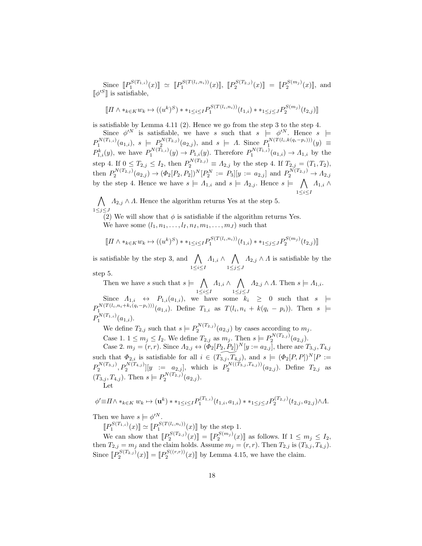Since  $[[P_1^{S(T_{1,i})}(x)] \simeq [[P_1^{S(T(l_i,n_i))}(x)]$ ,  $[[P_2^{S(T_{2,j})}(x)]] = [[P_2^{S(m_j)}(x)]$ , and  $\llbracket \phi'^{S} \rrbracket$  is satisfiable,

$$
[\![\varPi\wedge *_{{k \in K}} w_k \mapsto ((u^k)^S) * *_{{1 \leq i \leq I}} P_1^{S(T(l_i,n_i))}(t_{1,i}) * *_{{1 \leq j \leq J}} P_2^{S(m_j)}(t_{2,j})]\!]
$$

is satisfiable by Lemma 4.11 (2). Hence we go from the step 3 to the step 4.

Since  $\phi^N$  is satisfiable, we have s such that  $s \models \phi^N$ . Hence  $s \models$  $P_1^{N(T_{1,i})}(a_{1,i}), s \models P_2^{N(T_{2,j})}(a_{2,j}), \text{ and } s \models \Lambda. \text{ Since } P_1^{N(T(l_i,k(q_i-p_i)))}(y) \equiv$  $P_{1,i}^{k}(y)$ , we have  $P_{1}^{N(T_{1,i})}(y) \to P_{1,i}(y)$ . Therefore  $P_{1}^{N(T_{1,i})}(a_{1,i}) \to \Lambda_{1,i}$  by the step 4. If  $0 \le T_{2,j} \le I_2$ , then  $P_2^{N(T_{2,j})} \equiv A_{2,j}$  by the step 4. If  $T_{2,j} = (T_1, T_2)$ , then  $P_2^{N(T_{2,j})}(a_{2,j}) \to (\Phi_2[P_2, P_2])^N[P_2^N := P_3][y := a_{2,j}]$  and  $P_2^{N(T_{2,j})} \to \Lambda_{2,j}$ by the step 4. Hence we have  $s \models A_{1,i}$  and  $s \models A_{2,j}$ . Hence  $s \models \bigwedge A_{1,i} \land A_{2,i}$  $1\leq i \leq I$ 

 $\wedge$  $1\leq j\leq J$  $\Lambda_{2,j} \wedge \Lambda$ . Hence the algorithm returns Yes at the step 5.

(2) We will show that  $\phi$  is satisfiable if the algorithm returns Yes.

We have some  $(l_1, n_1, \ldots, l_I, n_I, m_1, \ldots, m_J)$  such that

$$
[\![\varPi \wedge *_k \in K w_k \mapsto ((u^k)^S) * *_1 \leq i \leq I P_1^{S(T(l_i, n_i))}(t_{1,i}) * *_1 \leq j \leq J P_2^{S(m_j)}(t_{2,j})]\!]
$$

is satisfiable by the step 3, and  $\Lambda$  $1\leq i \leq I$  $\Lambda_{1,i} \wedge \Lambda$  $1\leq j\leq J$  $\Lambda_{2,j} \wedge \Lambda$  is satisfiable by the step 5.

Then we have s such that  $s \models \bigwedge$  $1 \leq i \leq I$  $\varLambda_{1,i} \wedge \varLambda$  $1\leq j\leq J$  $\Lambda_{2,j} \wedge \Lambda$ . Then  $s \models \Lambda_{1,i}$ .

Since  $\Lambda_{1,i} \leftrightarrow P_{1,i}(a_{1,i}),$  we have some  $k_i \geq 0$  such that  $s \models$  $P_1^{N(T(l_i,n_i+k_i(q_i-p_i)))}(a_{1,i})$ . Define  $T_{1,i}$  as  $T(l_i,n_i+k(q_i-p_i))$ . Then  $s \models$  $P_1^{N(T_{1,i})}(a_{1,i}).$ 

We define  $T_{2,j}$  such that  $s \models P_2^{N(T_{2,j})}(a_{2,j})$  by cases according to  $m_j$ . Case 1.  $1 \le m_j \le I_2$ . We define  $T_{2,j}$  as  $m_j$ . Then  $s \models P_2^{N(T_{2,j})}(a_{2,j})$ .

Case 2.  $m_j = (r, r)$ . Since  $A_{2,j} \leftrightarrow (\Phi_2[P_2, P_2])^N[y := a_{2,j}]$ , there are  $T_{3,j}, T_{4,j}$ such that  $\Phi_{2,i}$  is satisfiable for all  $i \in \widetilde{(T_{3,j}, T_{4,j})}$ , and  $s \models (\Phi_2[P, P])^N[P :=$  $P_2^{N(T_{3,j})}, P_2^{N(T_{4,j})}$  [y :=  $a_{2,j}$ ], which is  $P_2^{N((T_{3,j},T_{4,j}))}(a_{2,j})$ . Define  $T_{2,j}$  as  $(T_{3,j}, T_{4,j})$ . Then  $s \models P_2^{N(T_{2,j})}(a_{2,j})$ . Let

$$
\phi' \equiv \Pi \wedge *_k \in K w_k \mapsto (\mathbf{u}^k) * *_{1 \leq i \leq I} P_1^{(T_{1,i})}(t_{1,i}, a_{1,i}) * *_{1 \leq j \leq J} P_2^{(T_{2,j})}(t_{2,j}, a_{2,j}) \wedge \Lambda.
$$

Then we have  $s \models \phi^{\prime N}$ .

 $[P_1^{S(T_{1,i})}(x)] \simeq [P_1^{S(T(l_i,n_i))}(x)]$  by the step 1.

We can show that  $[[P_2^{S(T_{2,j})}(x)]] = [[P_2^{S(m_j)}(x)]]$  as follows. If  $1 \leq m_j \leq I_2$ , then  $T_{2,j} = m_j$  and the claim holds. Assume  $m_j = (r, r)$ . Then  $T_{2,j}$  is  $(T_{3,j}, T_{4,j})$ . Since  $[[P_2^{S(T_{2,j})}(x)]] = [[P_2^{S((r,r))}(x)]]$  by Lemma 4.15, we have the claim.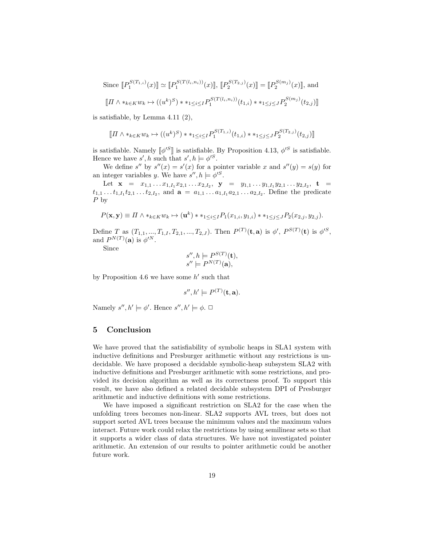Since 
$$
\llbracket P_1^{S(T_{1,i})}(x) \rrbracket \simeq \llbracket P_1^{S(T(l_i,n_i))}(x) \rrbracket
$$
,  $\llbracket P_2^{S(T_{2,j})}(x) \rrbracket = \llbracket P_2^{S(m_j)}(x) \rrbracket$ , and  

$$
\llbracket \Pi \wedge *_{k \in K} w_k \mapsto ((u^k)^S) * *_{1 \leq i \leq I} P_1^{S(T(l_i,n_i))}(t_{1,i}) * *_{1 \leq j \leq J} P_2^{S(m_j)}(t_{2,j}) \rrbracket
$$

is satisfiable, by Lemma 4.11 (2),

$$
[\![\Pi \wedge *_k \in K w_k \mapsto ((u^k)^S) * *_{1 \leq i \leq I} P_1^{S(T_{1,i})}(t_{1,i}) * *_{1 \leq j \leq J} P_2^{S(T_{2,j})}(t_{2,j})]\!]
$$

is satisfiable. Namely  $\llbracket \phi'^S \rrbracket$  is satisfiable. By Proposition 4.13,  $\phi'^S$  is satisfiable. Hence we have  $s', h$  such that  $s', h \models \phi'^S$ .

We define s'' by  $s''(x) = s'(x)$  for a pointer variable x and  $s''(y) = s(y)$  for an integer variables y. We have  $s'', h \models \phi'^S$ .

Let  $\mathbf{x} = x_{1,1} \dots x_{1,I_1} x_{2,1} \dots x_{2,I_2}, \mathbf{y} = y_{1,1} \dots y_{1,I_1} y_{2,1} \dots y_{2,I_2}, \mathbf{t} =$  $t_{1,1} \ldots t_{1,I_1} t_{2,1} \ldots t_{2,I_2}$ , and  $\mathbf{a} = a_{1,1} \ldots a_{1,I_1} a_{2,1} \ldots a_{2,I_2}$ . Define the predicate P by

$$
P(\mathbf{x}, \mathbf{y}) \equiv \Pi \wedge *_{k \in K} w_k \mapsto (\mathbf{u}^k) * *_{1 \leq i \leq I} P_1(x_{1,i}, y_{1,i}) * *_{1 \leq j \leq J} P_2(x_{2,j}, y_{2,j}).
$$

Define T as  $(T_{1,1},...,T_{1,I},T_{2,1},...,T_{2,J})$ . Then  $P^{(T)}(\mathbf{t},\mathbf{a})$  is  $\phi', P^{S(T)}(\mathbf{t})$  is  $\phi'^S$ , and  $P^{N(T)}(\mathbf{a})$  is  $\phi^{\prime N}$ .

Since

$$
s'', h \models P^{S(T)}(\mathbf{t}),
$$
  

$$
s'' \models P^{N(T)}(\mathbf{a}),
$$

by Proposition 4.6 we have some  $h'$  such that

$$
s'', h' \models P^{(T)}(\mathbf{t}, \mathbf{a}).
$$

Namely  $s'', h' \models \phi'$ . Hence  $s'', h' \models \phi$ .  $\Box$ 

## 5 Conclusion

We have proved that the satisfiability of symbolic heaps in SLA1 system with inductive definitions and Presburger arithmetic without any restrictions is undecidable. We have proposed a decidable symbolic-heap subsystem SLA2 with inductive definitions and Presburger arithmetic with some restrictions, and provided its decision algorithm as well as its correctness proof. To support this result, we have also defined a related decidable subsystem DPI of Presburger arithmetic and inductive definitions with some restrictions.

We have imposed a significant restriction on SLA2 for the case when the unfolding trees becomes non-linear. SLA2 supports AVL trees, but does not support sorted AVL trees because the minimum values and the maximum values interact. Future work could relax the restrictions by using semilinear sets so that it supports a wider class of data structures. We have not investigated pointer arithmetic. An extension of our results to pointer arithmetic could be another future work.